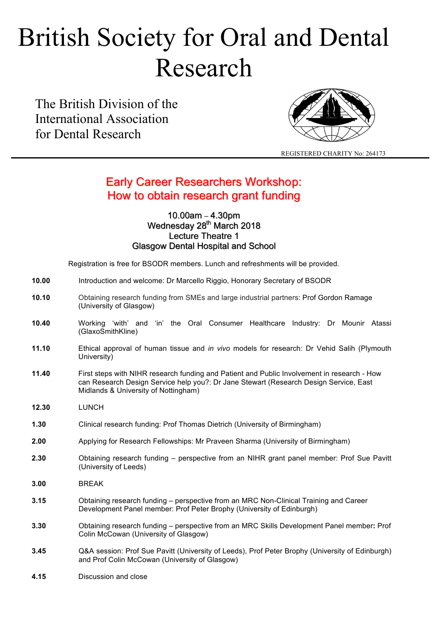# British Society for Oral and Dental Research

The British Division of the International Association for Dental Research



REGISTERED CHARITY No: 264173

## Early Career Researchers Workshop: How to obtain research grant funding

### 10.00am – 4.30pm Wednesday 28<sup>th</sup> March 2018 Lecture Theatre 1 Glasgow Dental Hospital and School

Registration is free for BSODR members. Lunch and refreshments will be provided.

| 10.00 | Introduction and welcome: Dr Marcello Riggio, Honorary Secretary of BSODR |  |  |
|-------|---------------------------------------------------------------------------|--|--|
|-------|---------------------------------------------------------------------------|--|--|

- **10.10** Obtaining research funding from SMEs and large industrial partners: Prof Gordon Ramage (University of Glasgow)
- **10.40** Working 'with' and 'in' the Oral Consumer Healthcare Industry: Dr Mounir Atassi (GlaxoSmithKline)
- **11.10** Ethical approval of human tissue and *in vivo* models for research: Dr Vehid Salih (Plymouth University)
- **11.40** First steps with NIHR research funding and Patient and Public Involvement in research How can Research Design Service help you?: Dr Jane Stewart (Research Design Service, East Midlands & University of Nottingham)
- **12.30** LUNCH
- **1.30** Clinical research funding: Prof Thomas Dietrich (University of Birmingham)
- **2.00** Applying for Research Fellowships: Mr Praveen Sharma (University of Birmingham)
- **2.30** Obtaining research funding perspective from an NIHR grant panel member: Prof Sue Pavitt (University of Leeds)
- **3.00** BREAK
- **3.15** Obtaining research funding perspective from an MRC Non-Clinical Training and Career Development Panel member: Prof Peter Brophy (University of Edinburgh)
- **3.30** Obtaining research funding perspective from an MRC Skills Development Panel member**:** Prof Colin McCowan (University of Glasgow)
- **3.45** Q&A session: Prof Sue Pavitt (University of Leeds), Prof Peter Brophy (University of Edinburgh) and Prof Colin McCowan (University of Glasgow)
- **4.15** Discussion and close